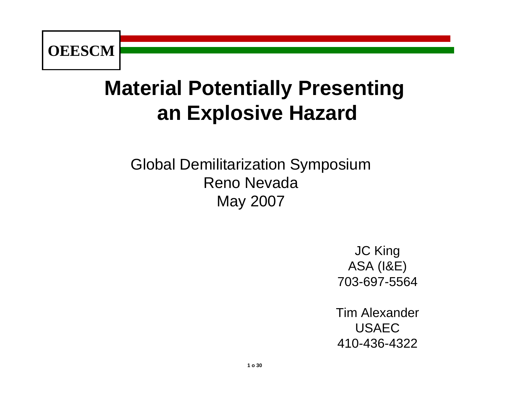

# **Material Potentially Presenting an Explosive Hazard**

Global Demilitarization Symposium Reno NevadaMay 2007

> JC King ASA (I&E) 703-697-5564

Tim AlexanderUSAEC410-436-4322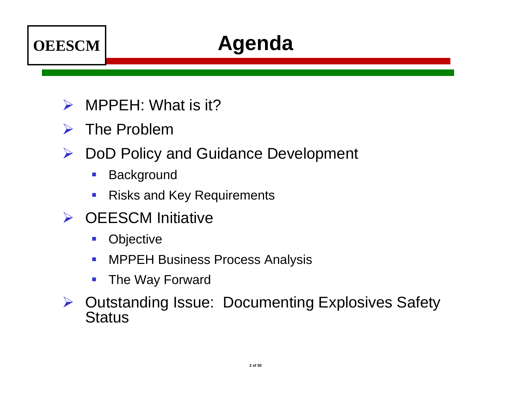

# **Agenda**

- $\blacktriangleright$ MPPEH: What is it?
- $\triangleright$  The Problem
- ¾ DoD Policy and Guidance Development
	- $\mathcal{L}_{\mathcal{A}}$ **Background**
	- $\mathcal{C}_{\mathcal{A}}$ Risks and Key Requirements
- **► OEESCM Initiative** 
	- $\mathcal{L}_{\mathcal{A}}$ **Objective**
	- $\mathbb{R}^3$ MPPEH Business Process Analysis
	- The Way Forward
- ¾ Outstanding Issue: Documenting Explosives Safety **Status**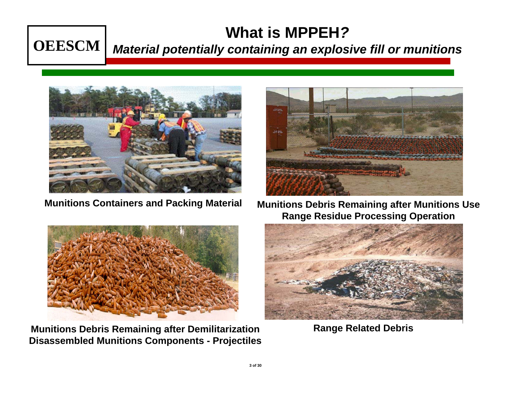#### **What is MPPEH***?*

#### **OEESCM**

#### *Material potentially containing an explosive fill or munitions*





**Munitions Debris Remaining after Demilitarization Range Related Debris Disassembled Munitions Components - Projectiles**



**Munitions Containers and Packing Material Munitions Debris Remaining after Munitions Use Range Residue Processing Operation**

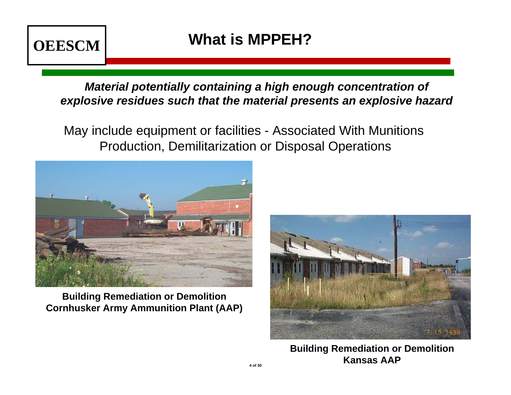

*Material potentially containing a high enough concentration of explosive residues such that the material presents an explosive hazard*

May include equipment or facilities - Associated With Munitions Production, Demilitarization or Disposal Operations



**Building Remediation or Demolition Cornhusker Army Ammunition Plant (AAP)**



**Building Remediation or Demolition Kansas AAP**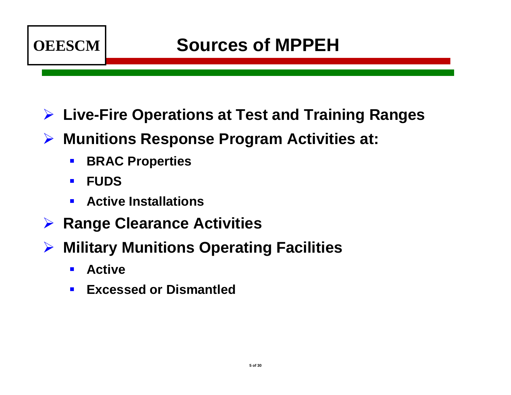

#### ¾ **Live-Fire Operations at Test and Training Ranges**

- ¾ **Munitions Response Program Activities at:** 
	- $\mathbb{R}^n$ **BRAC Properties**
	- $\blacksquare$ **FUDS**
	- $\blacksquare$ **Active Installations**
- ¾ **Range Clearance Activities**
- ¾ **Military Munitions Operating Facilities**
	- $\blacksquare$ **Active**
	- $\blacksquare$ **Excessed or Dismantled**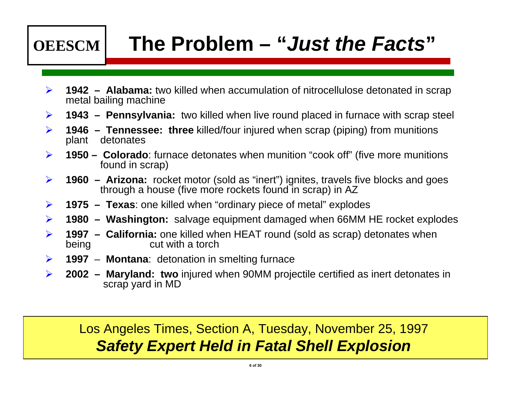

# **The Problem – "***Just the Facts***"**

- $\blacktriangleright$  **1942 – Alabama:** two killed when accumulation of nitrocellulose detonated in scrap metal bailing machine
- $\blacktriangleright$ **1943 – Pennsylvania:** two killed when live round placed in furnace with scrap steel
- $\blacktriangleright$  **1946 – Tennessee: three** killed/four injured when scrap (piping) from munitions plant detonates
- $\blacktriangleright$  **1950 – Colorado**: furnace detonates when munition "cook off" (five more munitions found in scrap)
- $\blacktriangleright$  **1960 – Arizona:** rocket motor (sold as "inert") ignites, travels five blocks and goes through a house (five more rockets found in scrap) in AZ
- $\blacktriangleright$ **1975 – Texas**: one killed when "ordinary piece of metal" explodes
- $\blacktriangleright$ **1980 – Washington:** salvage equipment damaged when 66MM HE rocket explodes
- $\blacktriangleright$  **1997 – California:** one killed when HEAT round (sold as scrap) detonates when being cut with a torch
- $\blacktriangleright$ **1997** – **Montana**: detonation in smelting furnace
- $\blacktriangleright$  **2002 – Maryland: two** injured when 90MM projectile certified as inert detonates in scrap yard in MD

#### Los Angeles Times, Section A, Tuesday, November 25, 1997 *Safety Expert Held in Fatal Shell Explosion*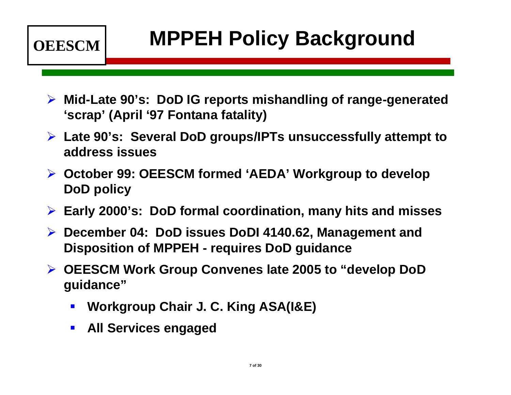

# **MPPEH Policy Background**

- ¾ **Mid-Late 90's: DoD IG reports mishandling of range-generated 'scrap' (April '97 Fontana fatality)**
- ¾ **Late 90's: Several DoD groups/IPTs unsuccessfully attempt to address issues**
- ¾ **October 99: OEESCM formed 'AEDA' Workgroup to develop DoD policy**
- ¾**Early 2000's: DoD formal coordination, many hits and misses**
- ¾ **December 04: DoD issues DoDI 4140.62, Management and Disposition of MPPEH - requires DoD guidance**
- ¾ **OEESCM Work Group Convenes late 2005 to "develop DoD guidance"**
	- $\blacksquare$ **Workgroup Chair J. C. King ASA(I&E)**
	- $\mathbb{R}^2$ **All Services engaged**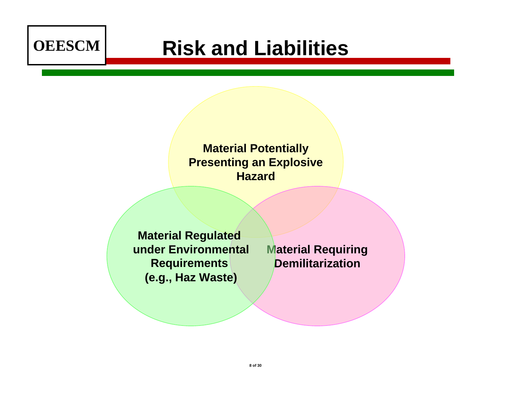

# **Risk and Liabilities**

#### **Material Potentially Presenting an Explosive Hazard**

**Material Regulated under Environmental Requirements (e.g., Haz Waste)**

**Material Requiring Demilitarization**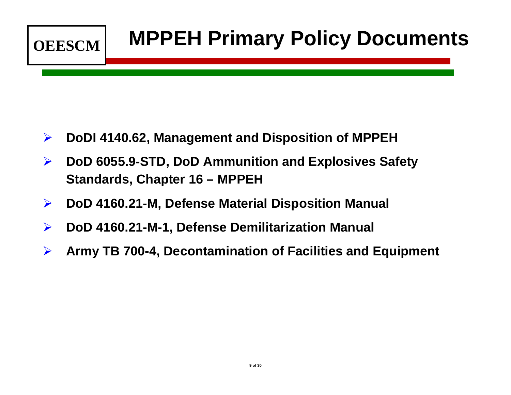

- ¾**DoDI 4140.62, Management and Disposition of MPPEH**
- $\blacktriangleright$  **DoD 6055.9-STD, DoD Ammunition and Explosives Safety Standards, Chapter 16 – MPPEH**
- ¾**DoD 4160.21-M, Defense Material Disposition Manual**
- $\blacktriangleright$ **DoD 4160.21-M-1, Defense Demilitarization Manual**
- ¾**Army TB 700-4, Decontamination of Facilities and Equipment**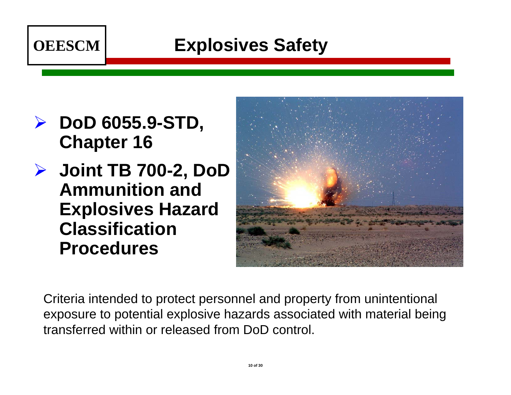

### **Explosives Safety**

- ¾ **DoD 6055.9-STD, Chapter 16**
- ¾ **Joint TB 700-2, DoD Ammunition and Explosives Hazard Classification Procedures**



Criteria intended to protect personnel and property from unintentional exposure to potential explosive hazards associated with material being transferred within or released from DoD control.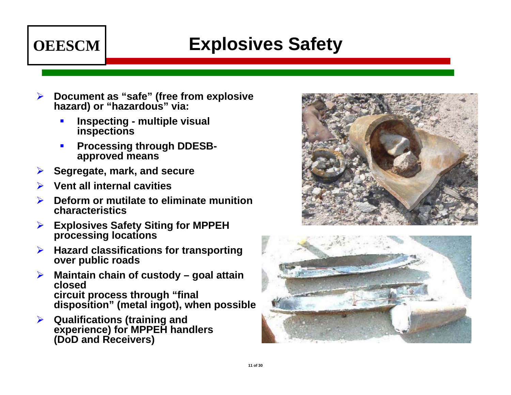# **OEESCM**

## **Explosives Safety**

- ¾ **Document as "safe" (free from explosive hazard) or "hazardous" via:**
	- L **Inspecting - multiple visual inspections**
	- H **Processing through DDESBapproved means**
- ¾**Segregate, mark, and secure**
- ¾**Vent all internal cavities**
- ¾ **Deform or mutilate to eliminate munition characteristics**
- ¾ **Explosives Safety Siting for MPPEH processing locations**
- ¾ **Hazard classifications for transporting over public roads**
- ¾ **Maintain chain of custody – goal attain closed circuit process through "final disposition" (metal ingot), when possible**
- ¾ **Qualifications (training and experience) for MPPEH handlers (DoD and Receivers)**



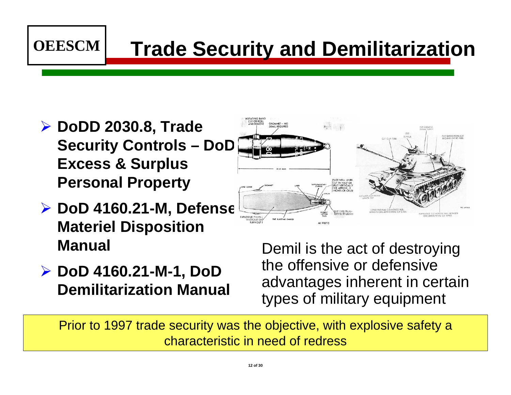

¾ **DoDD 2030.8, Trade Security Controls – DoD Excess & Surplus Personal Property**

**OEESCM**

- ¾ **DoD 4160.21-M, Defense Materiel Disposition Manual**
- ¾ **DoD 4160.21-M-1, DoD Demilitarization Manual**

Demil is the act of destroying the offensive or defensive advantages inherent in certain types of military equipment

Prior to 1997 trade security was the objective, with explosive safety a characteristic in need of redress

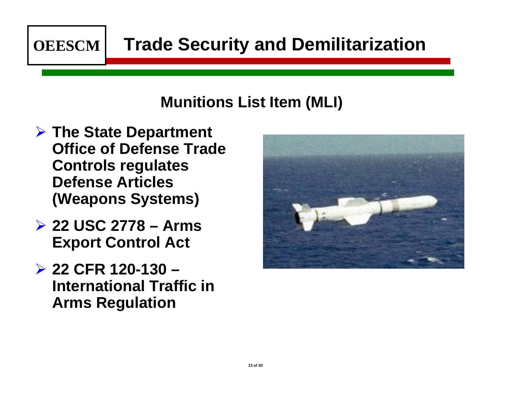

## **Trade Security and Demilitarization**

#### **Munitions List Item (MLI)**

- ¾ **The State Department Office of Defense Trade Controls regulates Defense Articles (Weapons Systems)**
- ¾ **22 USC 2778 – Arms Export Control Act**
- ¾ **22 CFR 120-130 – International Traffic in Arms Regulation**

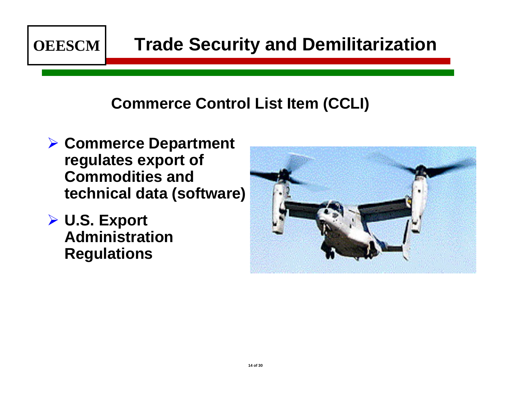

## **Trade Security and Demilitarization**

#### **Commerce Control List Item (CCLI)**

- ¾ **Commerce Department regulates export of Commodities and technical data (software)**
- ¾ **U.S. Export Administration Regulations**

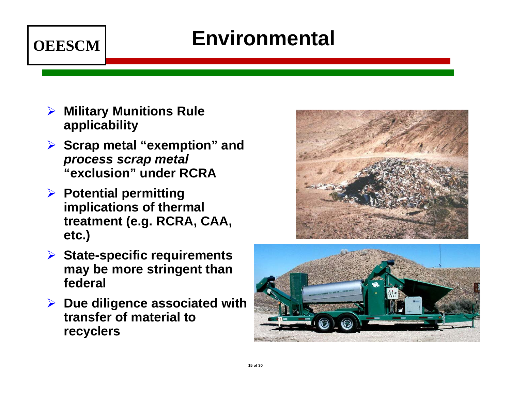

# **Environmental**

- ¾ **Military Munitions Rule applicability**
- ¾ **Scrap metal "exemption" and**  *process scrap metal* **"exclusion" under RCRA**
- ¾ **Potential permitting implications of thermal treatment (e.g. RCRA, CAA, etc.)**



- ¾ **State-specific requirements may be more stringent than federal**
- ¾ **Due diligence associated with transfer of material to recyclers**

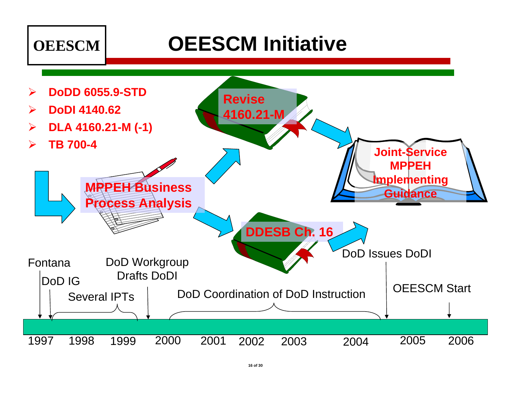

# **OEESCM Initiative**

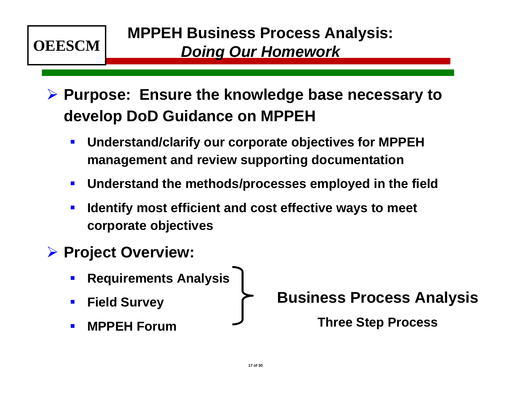

¾ **Purpose: Ensure the knowledge base necessary to develop DoD Guidance on MPPEH**

- $\blacksquare$  **Understand/clarify our corporate objectives for MPPEH management and review supporting documentation**
- $\blacksquare$ **Understand the methods/processes employed in the field**
- $\Box$  **Identify most efficient and cost effective ways to meet corporate objectives**
- ¾ **Project Overview:**
	- $\blacksquare$ **Requirements Analysis**
	- $\blacksquare$ **Field Survey**
	- $\blacksquare$ **MPPEH Forum**

**Business Process Analysis**

**Three Step Process**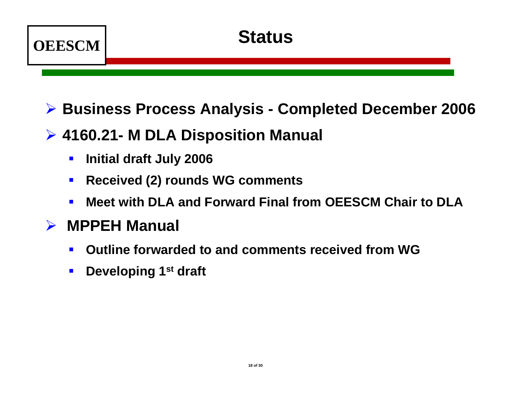

- ¾ **Business Process Analysis - Completed December 2006**
- ¾ **4160.21- M DLA Disposition Manual** 
	- $\mathbf{r}$ **Initial draft July 2006**
	- $\mathbf{r}$ **Received (2) rounds WG comments**
	- $\blacksquare$ **Meet with DLA and Forward Final from OEESCM Chair to DLA**

#### $\blacktriangleright$ **MPPEH Manual**

- $\blacksquare$ **Outline forwarded to and comments received from WG**
- $\blacksquare$ **Developing 1st draft**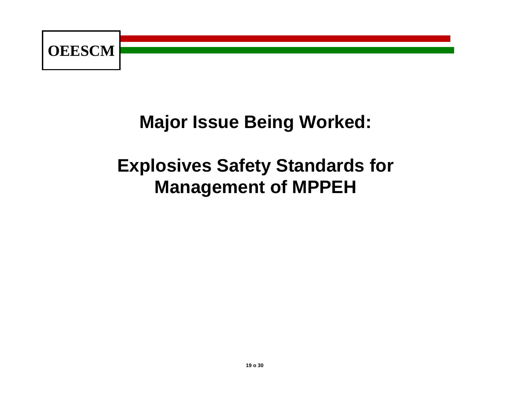

### **Major Issue Being Worked:**

# **Explosives Safety Standards for Management of MPPEH**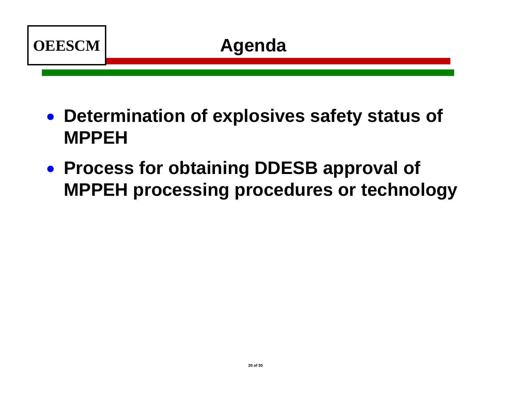

- **Determination of explosives safety status of MPPEH**
- **Process for obtaining DDESB approval of MPPEH processing procedures or technology**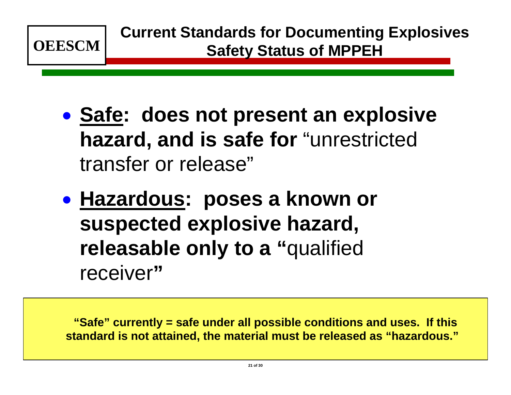

- $\bullet$ **• Safe: does not present an explosive hazard, and is safe for** "unrestricted transfer or release"
- $\bullet$ **• Hazardous: poses a known or suspected explosive hazard, releasable only to a "**qualified receiver**"**

**"Safe" currently = safe under all possible conditions and uses. If this standard is not attained, the material must be released as "hazardous."**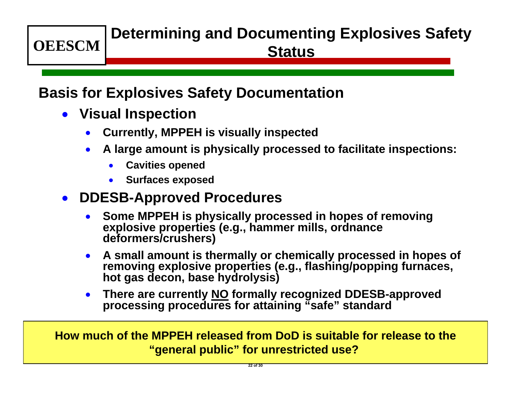# **Determining and Documenting Explosives Safety Status**

#### **Basis for Explosives Safety Documentation**

• **Visual Inspection**

**OEESCM**

- •**Currently, MPPEH is visually inspected**
- • **A large amount is physically processed to facilitate inspections:**
	- $\bullet$ **Cavities opened**
	- $\bullet$ **Surfaces exposed**

#### • **DDESB-Approved Procedures**

- • **Some MPPEH is physically processed in hopes of removing explosive properties (e.g., hammer mills, ordnance deformers/crushers)**
- **A small amount is thermally or chemically processed in hopes of removing explosive properties (e.g., flashing/popping furnaces, hot gas decon, base hydrolysis)**
- $\bullet$  **There are currently NO formally recognized DDESB-approved processing procedures for attaining "safe" standard**

**How much of the MPPEH released from DoD is suitable for release to the"general public" for unrestricted use?**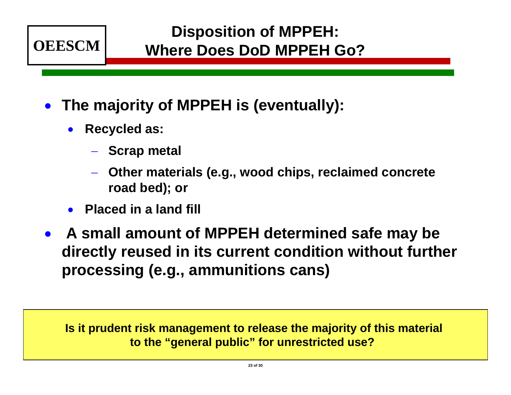

- **The majority of MPPEH is (eventually):**
	- **Recycled as:**
		- **Scrap metal**
		- **Other materials (e.g., wood chips, reclaimed concrete road bed); or**
	- •**Placed in a land fill**
- **A small amount of MPPEH determined safe may be directly reused in its current condition without further processing (e.g., ammunitions cans)**

**Is it prudent risk management to release the majority of this material to the "general public" for unrestricted use?**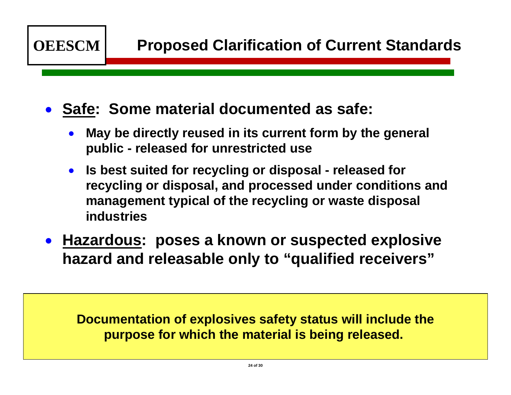

#### • **Safe: Some material documented as safe:**

- $\bullet$  **May be directly reused in its current form by the general public - released for unrestricted use**
- **Is best suited for recycling or disposal - released for recycling or disposal, and processed under conditions and management typical of the recycling or waste disposal industries**
- • **Hazardous: poses a known or suspected explosive hazard and releasable only to "qualified receivers"**

**Documentation of explosives safety status will include the purpose for which the material is being released.**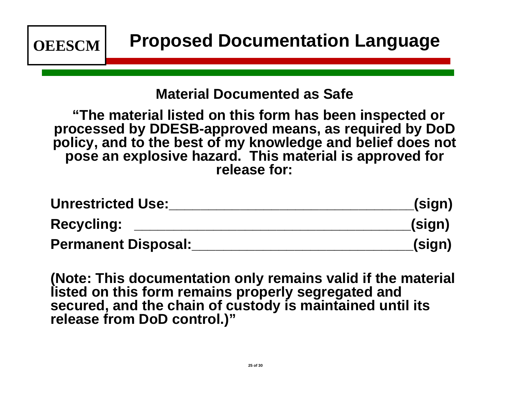

#### **Material Documented as Safe**

**"The material listed on this form has been inspected or processed by DDESB-approved means, as required by DoD policy, and to the best of my knowledge and belief does not pose an explosive hazard. This material is approved for release for:**

| <b>Unrestricted Use:</b>   | (sign) |
|----------------------------|--------|
| <b>Recycling:</b>          | (sign) |
| <b>Permanent Disposal:</b> | (sign) |

**(Note: This documentation only remains valid if the material listed on this form remains properly segregated and secured, and the chain of custody is maintained until its release from DoD control.)"**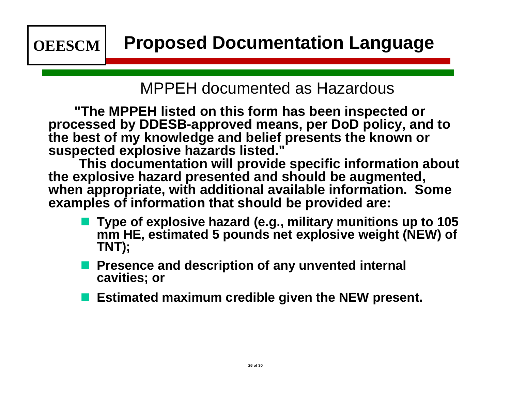#### MPPEH documented as Hazardous

**"The MPPEH listed on this form has been inspected or processed by DDESB-approved means, per DoD policy, and to the best of my knowledge and belief presents the known or suspected explosive hazards listed."** 

**This documentation will provide specific information about the explosive hazard presented and should be augmented, when appropriate, with additional available information. Some examples of information that should be provided are:** 

- **Type of explosive hazard (e.g., military munitions up to 105 mm HE, estimated 5 pounds net explosive weight (NEW) of TNT);**
- **Presence and description of any unvented internal cavities; or**
- **Service Service Estimated maximum credible given the NEW present.**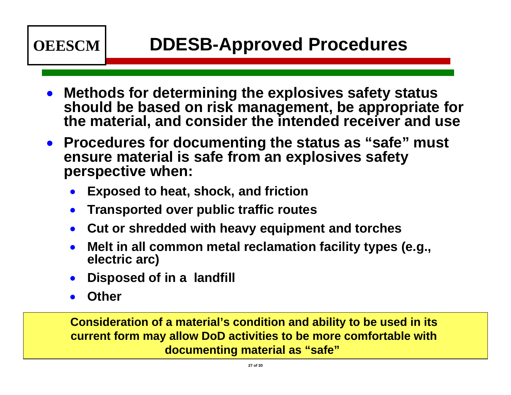

- • **Methods for determining the explosives safety status should be based on risk management, be appropriate for the material, and consider the intended receiver and use**
- $\bullet$  **Procedures for documenting the status as "safe" must ensure material is safe from an explosives safety perspective when:**
	- •**Exposed to heat, shock, and friction**
	- $\bullet$ **Transported over public traffic routes**
	- $\bullet$ **Cut or shredded with heavy equipment and torches**
	- • **Melt in all common metal reclamation facility types (e.g., electric arc)**
	- •**Disposed of in a landfill**
	- •**Other**

**Consideration of a material's condition and ability to be used in its current form may allow DoD activities to be more comfortable with documenting material as "safe"**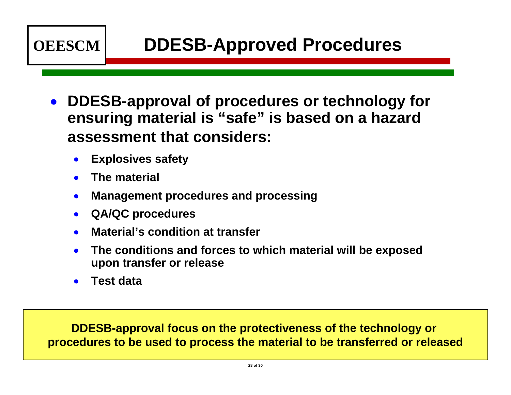

- $\bullet$  **DDESB-approval of procedures or technology for ensuring material is "safe" is based on a hazard assessment that considers:**
	- •**Explosives safety**
	- •**The material**
	- •**Management procedures and processing**
	- •**QA/QC procedures**
	- •**Material's condition at transfer**
	- • **The conditions and forces to which material will be exposed upon transfer or release**
	- •**Test data**

**DDESB-approval focus on the protectiveness of the technology or procedures to be used to process the material to be transferred or released**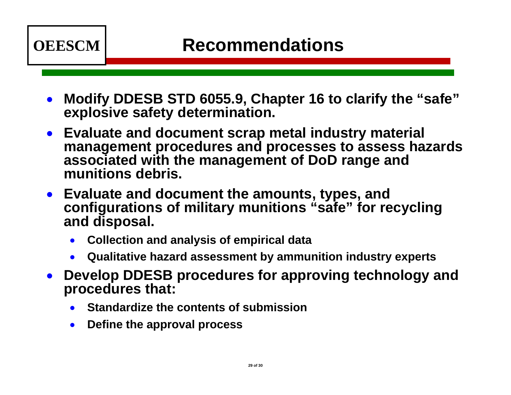

- $\bullet$  **Modify DDESB STD 6055.9, Chapter 16 to clarify the "safe" explosive safety determination.**
- $\bullet$  **Evaluate and document scrap metal industry material management procedures and processes to assess hazards associated with the management of DoD range and munitions debris.**
- **Evaluate and document the amounts, types, and configurations of military munitions "safe" for recycling and disposal.**
	- $\bullet$ **Collection and analysis of empirical data**
	- •**Qualitative hazard assessment by ammunition industry experts**
- • **Develop DDESB procedures for approving technology and procedures that:** 
	- •**Standardize the contents of submission**
	- $\bullet$ **Define the approval process**